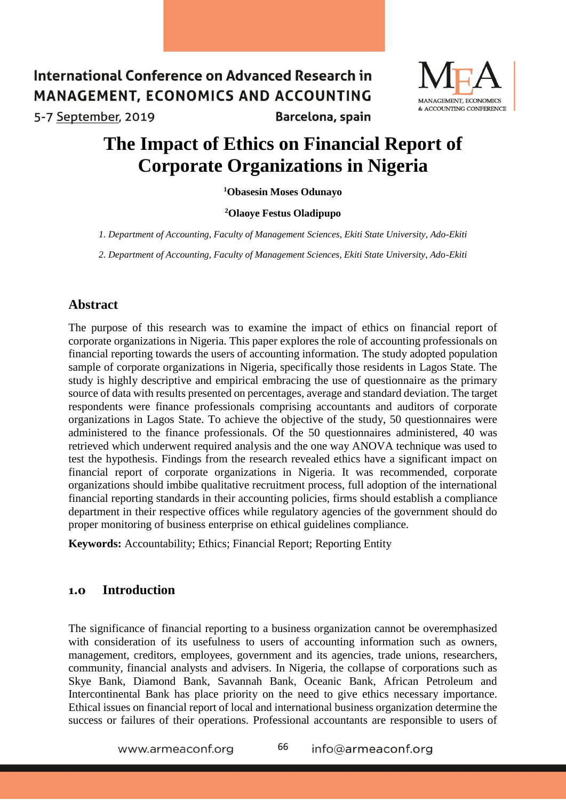#### International Conference on Advanced Research in MANAGEMENT, ECONOMICS AND ACCOUNTING 5-7 September, 2019 Barcelona, spain



# **The Impact of Ethics on Financial Report of Corporate Organizations in Nigeria**

**<sup>1</sup>Obasesin Moses Odunayo**

#### **<sup>2</sup>Olaoye Festus Oladipupo**

*1. Department of Accounting, Faculty of Management Sciences, Ekiti State University, Ado-Ekiti*

*2. Department of Accounting, Faculty of Management Sciences, Ekiti State University, Ado-Ekiti*

#### **Abstract**

The purpose of this research was to examine the impact of ethics on financial report of corporate organizations in Nigeria. This paper explores the role of accounting professionals on financial reporting towards the users of accounting information. The study adopted population sample of corporate organizations in Nigeria, specifically those residents in Lagos State. The study is highly descriptive and empirical embracing the use of questionnaire as the primary source of data with results presented on percentages, average and standard deviation. The target respondents were finance professionals comprising accountants and auditors of corporate organizations in Lagos State. To achieve the objective of the study, 50 questionnaires were administered to the finance professionals. Of the 50 questionnaires administered, 40 was retrieved which underwent required analysis and the one way ANOVA technique was used to test the hypothesis. Findings from the research revealed ethics have a significant impact on financial report of corporate organizations in Nigeria. It was recommended, corporate organizations should imbibe qualitative recruitment process, full adoption of the international financial reporting standards in their accounting policies, firms should establish a compliance department in their respective offices while regulatory agencies of the government should do proper monitoring of business enterprise on ethical guidelines compliance.

**Keywords:** Accountability; Ethics; Financial Report; Reporting Entity

#### **1.0 Introduction**

The significance of financial reporting to a business organization cannot be overemphasized with consideration of its usefulness to users of accounting information such as owners, management, creditors, employees, government and its agencies, trade unions, researchers, community, financial analysts and advisers. In Nigeria, the collapse of corporations such as Skye Bank, Diamond Bank, Savannah Bank, Oceanic Bank, African Petroleum and Intercontinental Bank has place priority on the need to give ethics necessary importance. Ethical issues on financial report of local and international business organization determine the success or failures of their operations. Professional accountants are responsible to users of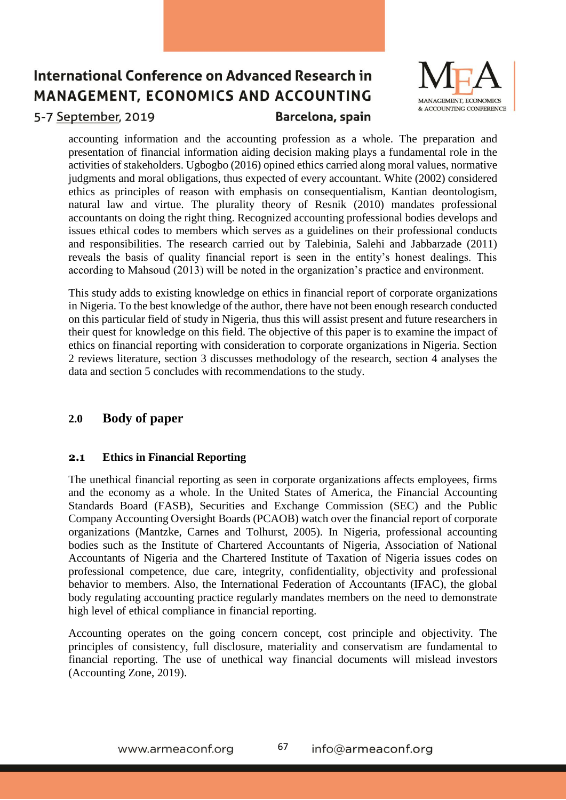

### 5-7 September, 2019

## Barcelona, spain

accounting information and the accounting profession as a whole. The preparation and presentation of financial information aiding decision making plays a fundamental role in the activities of stakeholders. Ugbogbo (2016) opined ethics carried along moral values, normative judgments and moral obligations, thus expected of every accountant. White (2002) considered ethics as principles of reason with emphasis on consequentialism, Kantian deontologism, natural law and virtue. The plurality theory of Resnik (2010) mandates professional accountants on doing the right thing. Recognized accounting professional bodies develops and issues ethical codes to members which serves as a guidelines on their professional conducts and responsibilities. The research carried out by Talebinia, Salehi and Jabbarzade (2011) reveals the basis of quality financial report is seen in the entity's honest dealings. This according to Mahsoud (2013) will be noted in the organization's practice and environment.

This study adds to existing knowledge on ethics in financial report of corporate organizations in Nigeria. To the best knowledge of the author, there have not been enough research conducted on this particular field of study in Nigeria, thus this will assist present and future researchers in their quest for knowledge on this field. The objective of this paper is to examine the impact of ethics on financial reporting with consideration to corporate organizations in Nigeria. Section 2 reviews literature, section 3 discusses methodology of the research, section 4 analyses the data and section 5 concludes with recommendations to the study.

## **2.0 Body of paper**

#### **2.1 Ethics in Financial Reporting**

The unethical financial reporting as seen in corporate organizations affects employees, firms and the economy as a whole. In the United States of America, the Financial Accounting Standards Board (FASB), Securities and Exchange Commission (SEC) and the Public Company Accounting Oversight Boards (PCAOB) watch over the financial report of corporate organizations (Mantzke, Carnes and Tolhurst, 2005). In Nigeria, professional accounting bodies such as the Institute of Chartered Accountants of Nigeria, Association of National Accountants of Nigeria and the Chartered Institute of Taxation of Nigeria issues codes on professional competence, due care, integrity, confidentiality, objectivity and professional behavior to members. Also, the International Federation of Accountants (IFAC), the global body regulating accounting practice regularly mandates members on the need to demonstrate high level of ethical compliance in financial reporting.

Accounting operates on the going concern concept, cost principle and objectivity. The principles of consistency, full disclosure, materiality and conservatism are fundamental to financial reporting. The use of unethical way financial documents will mislead investors (Accounting Zone, 2019).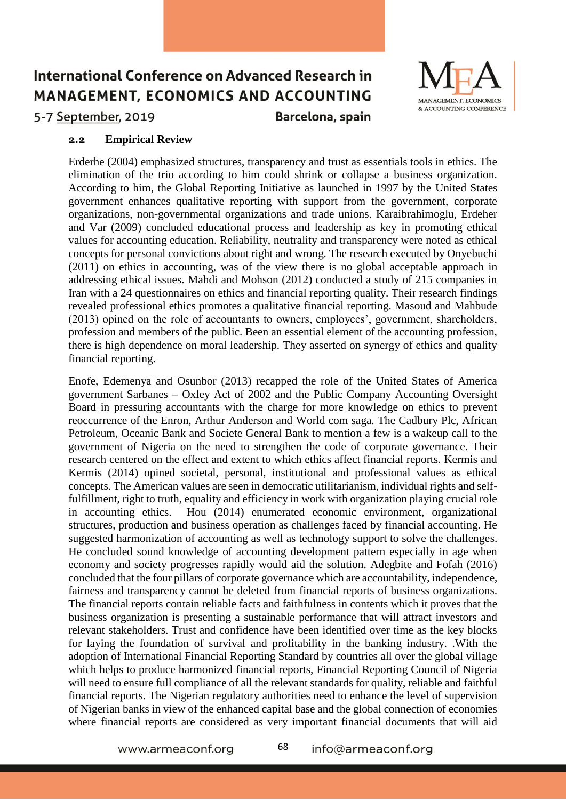

5-7 September, 2019

Barcelona, spain

#### **2.2 Empirical Review**

Erderhe (2004) emphasized structures, transparency and trust as essentials tools in ethics. The elimination of the trio according to him could shrink or collapse a business organization. According to him, the Global Reporting Initiative as launched in 1997 by the United States government enhances qualitative reporting with support from the government, corporate organizations, non-governmental organizations and trade unions. Karaibrahimoglu, Erdeher and Var (2009) concluded educational process and leadership as key in promoting ethical values for accounting education. Reliability, neutrality and transparency were noted as ethical concepts for personal convictions about right and wrong. The research executed by Onyebuchi (2011) on ethics in accounting, was of the view there is no global acceptable approach in addressing ethical issues. Mahdi and Mohson (2012) conducted a study of 215 companies in Iran with a 24 questionnaires on ethics and financial reporting quality. Their research findings revealed professional ethics promotes a qualitative financial reporting. Masoud and Mahbude (2013) opined on the role of accountants to owners, employees', government, shareholders, profession and members of the public. Been an essential element of the accounting profession, there is high dependence on moral leadership. They asserted on synergy of ethics and quality financial reporting.

Enofe, Edemenya and Osunbor (2013) recapped the role of the United States of America government Sarbanes – Oxley Act of 2002 and the Public Company Accounting Oversight Board in pressuring accountants with the charge for more knowledge on ethics to prevent reoccurrence of the Enron, Arthur Anderson and World com saga. The Cadbury Plc, African Petroleum, Oceanic Bank and Societe General Bank to mention a few is a wakeup call to the government of Nigeria on the need to strengthen the code of corporate governance. Their research centered on the effect and extent to which ethics affect financial reports. Kermis and Kermis (2014) opined societal, personal, institutional and professional values as ethical concepts. The American values are seen in democratic utilitarianism, individual rights and selffulfillment, right to truth, equality and efficiency in work with organization playing crucial role in accounting ethics. Hou (2014) enumerated economic environment, organizational structures, production and business operation as challenges faced by financial accounting. He suggested harmonization of accounting as well as technology support to solve the challenges. He concluded sound knowledge of accounting development pattern especially in age when economy and society progresses rapidly would aid the solution. Adegbite and Fofah (2016) concluded that the four pillars of corporate governance which are accountability, independence, fairness and transparency cannot be deleted from financial reports of business organizations. The financial reports contain reliable facts and faithfulness in contents which it proves that the business organization is presenting a sustainable performance that will attract investors and relevant stakeholders. Trust and confidence have been identified over time as the key blocks for laying the foundation of survival and profitability in the banking industry. .With the adoption of International Financial Reporting Standard by countries all over the global village which helps to produce harmonized financial reports, Financial Reporting Council of Nigeria will need to ensure full compliance of all the relevant standards for quality, reliable and faithful financial reports. The Nigerian regulatory authorities need to enhance the level of supervision of Nigerian banks in view of the enhanced capital base and the global connection of economies where financial reports are considered as very important financial documents that will aid

www.armeaconf.org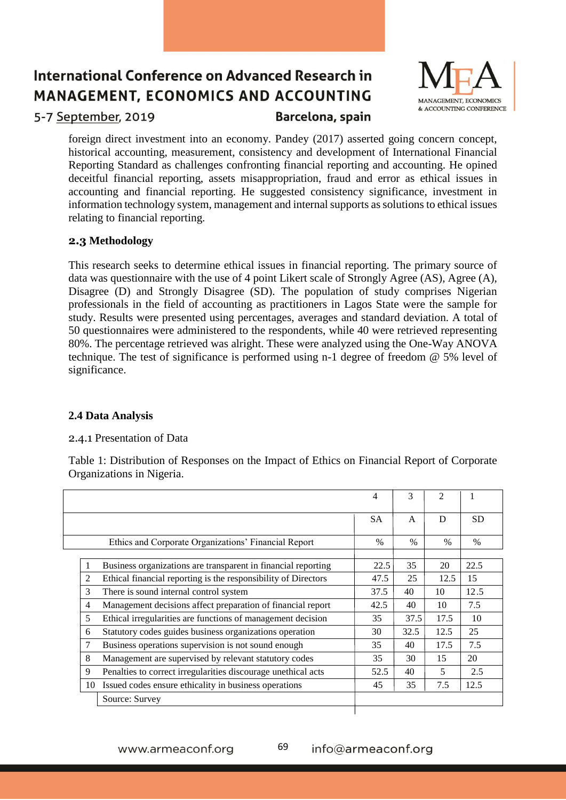

5-7 September, 2019

### Barcelona, spain

foreign direct investment into an economy. Pandey (2017) asserted going concern concept, historical accounting, measurement, consistency and development of International Financial Reporting Standard as challenges confronting financial reporting and accounting. He opined deceitful financial reporting, assets misappropriation, fraud and error as ethical issues in accounting and financial reporting. He suggested consistency significance, investment in information technology system, management and internal supports as solutions to ethical issues relating to financial reporting.

#### **2.3 Methodology**

This research seeks to determine ethical issues in financial reporting. The primary source of data was questionnaire with the use of 4 point Likert scale of Strongly Agree (AS), Agree (A), Disagree (D) and Strongly Disagree (SD). The population of study comprises Nigerian professionals in the field of accounting as practitioners in Lagos State were the sample for study. Results were presented using percentages, averages and standard deviation. A total of 50 questionnaires were administered to the respondents, while 40 were retrieved representing 80%. The percentage retrieved was alright. These were analyzed using the One-Way ANOVA technique. The test of significance is performed using n-1 degree of freedom @ 5% level of significance.

#### **2.4 Data Analysis**

#### 2.4.1 Presentation of Data

Table 1: Distribution of Responses on the Impact of Ethics on Financial Report of Corporate Organizations in Nigeria.

|    |                                                                | 4         | 3    | $\mathcal{D}_{\mathcal{A}}$ | 1         |
|----|----------------------------------------------------------------|-----------|------|-----------------------------|-----------|
|    |                                                                | <b>SA</b> | A    | D                           | <b>SD</b> |
|    | Ethics and Corporate Organizations' Financial Report           | $\%$      | $\%$ | $\%$                        | $\%$      |
|    | Business organizations are transparent in financial reporting  | 22.5      | 35   | 20                          | 22.5      |
| 2  | Ethical financial reporting is the responsibility of Directors | 47.5      | 25   | 12.5                        | 15        |
| 3  | There is sound internal control system                         | 37.5      | 40   | 10                          | 12.5      |
| 4  | Management decisions affect preparation of financial report    | 42.5      | 40   | 10                          | 7.5       |
| 5  | Ethical irregularities are functions of management decision    | 35        | 37.5 | 17.5                        | 10        |
| 6  | Statutory codes guides business organizations operation        | 30        | 32.5 | 12.5                        | 25        |
| 7  | Business operations supervision is not sound enough            | 35        | 40   | 17.5                        | 7.5       |
| 8  | Management are supervised by relevant statutory codes          | 35        | 30   | 15                          | 20        |
| 9  | Penalties to correct irregularities discourage unethical acts  | 52.5      | 40   | 5                           | 2.5       |
| 10 | Issued codes ensure ethicality in business operations          | 45        | 35   | 7.5                         | 12.5      |
|    | Source: Survey                                                 |           |      |                             |           |
|    |                                                                |           |      |                             |           |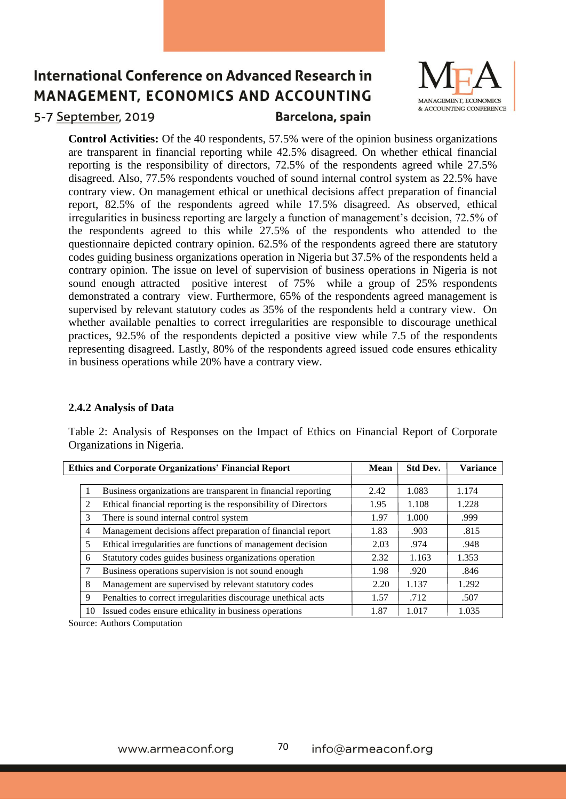

### 5-7 September, 2019

Barcelona, spain

**Control Activities:** Of the 40 respondents, 57.5% were of the opinion business organizations are transparent in financial reporting while 42.5% disagreed. On whether ethical financial reporting is the responsibility of directors, 72.5% of the respondents agreed while 27.5% disagreed. Also, 77.5% respondents vouched of sound internal control system as 22.5% have contrary view. On management ethical or unethical decisions affect preparation of financial report, 82.5% of the respondents agreed while 17.5% disagreed. As observed, ethical irregularities in business reporting are largely a function of management's decision, 72.5% of the respondents agreed to this while 27.5% of the respondents who attended to the questionnaire depicted contrary opinion. 62.5% of the respondents agreed there are statutory codes guiding business organizations operation in Nigeria but 37.5% of the respondents held a contrary opinion. The issue on level of supervision of business operations in Nigeria is not sound enough attracted positive interest of 75% while a group of 25% respondents demonstrated a contrary view. Furthermore, 65% of the respondents agreed management is supervised by relevant statutory codes as 35% of the respondents held a contrary view. On whether available penalties to correct irregularities are responsible to discourage unethical practices, 92.5% of the respondents depicted a positive view while 7.5 of the respondents representing disagreed. Lastly, 80% of the respondents agreed issued code ensures ethicality in business operations while 20% have a contrary view.

#### **2.4.2 Analysis of Data**

Table 2: Analysis of Responses on the Impact of Ethics on Financial Report of Corporate Organizations in Nigeria.

|                | <b>Ethics and Corporate Organizations' Financial Report</b>    | <b>Mean</b> | <b>Std Dev.</b> | <b>Variance</b> |
|----------------|----------------------------------------------------------------|-------------|-----------------|-----------------|
|                |                                                                |             |                 |                 |
|                | Business organizations are transparent in financial reporting  | 2.42        | 1.083           | 1.174           |
| 2              | Ethical financial reporting is the responsibility of Directors | 1.95        | 1.108           | 1.228           |
| 3              | There is sound internal control system                         | 1.97        | 1.000           | .999            |
| $\overline{4}$ | Management decisions affect preparation of financial report    | 1.83        | .903            | .815            |
| 5              | Ethical irregularities are functions of management decision    |             | .974            | .948            |
| 6              | Statutory codes guides business organizations operation        | 2.32        | 1.163           | 1.353           |
|                | Business operations supervision is not sound enough            | 1.98        | .920            | .846            |
| 8              | Management are supervised by relevant statutory codes          | 2.20        | 1.137           | 1.292           |
| 9              | Penalties to correct irregularities discourage unethical acts  |             | .712            | .507            |
| 10             | Issued codes ensure ethicality in business operations          | 1.87        | 1.017           | 1.035           |

Source: Authors Computation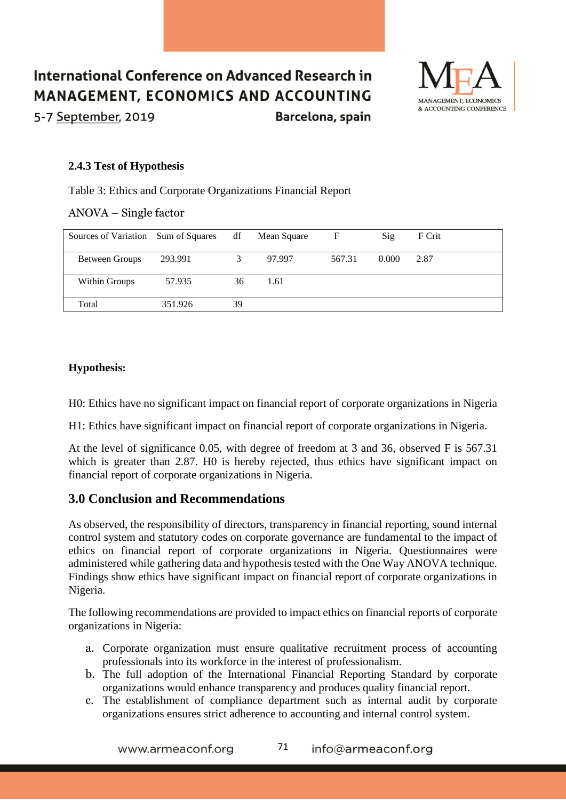### International Conference on Advanced Research in **MANAGEMENT, ECONOMICS AND ACCOUNTING** 5-7 September, 2019 Barcelona, spain



#### **2.4.3 Test of Hypothesis**

Table 3: Ethics and Corporate Organizations Financial Report

ANOVA – Single factor

| Sources of Variation Sum of Squares |         | df | Mean Square | F      | Sig   | F Crit |
|-------------------------------------|---------|----|-------------|--------|-------|--------|
| Between Groups                      | 293.991 |    | 97.997      | 567.31 | 0.000 | 2.87   |
| Within Groups                       | 57.935  | 36 | 1.61        |        |       |        |
| Total                               | 351.926 | 39 |             |        |       |        |

#### **Hypothesis:**

H0: Ethics have no significant impact on financial report of corporate organizations in Nigeria

H1: Ethics have significant impact on financial report of corporate organizations in Nigeria.

At the level of significance 0.05, with degree of freedom at 3 and 36, observed F is 567.31 which is greater than 2.87. H0 is hereby rejected, thus ethics have significant impact on financial report of corporate organizations in Nigeria.

## **3.0 Conclusion and Recommendations**

As observed, the responsibility of directors, transparency in financial reporting, sound internal control system and statutory codes on corporate governance are fundamental to the impact of ethics on financial report of corporate organizations in Nigeria. Questionnaires were administered while gathering data and hypothesis tested with the One Way ANOVA technique. Findings show ethics have significant impact on financial report of corporate organizations in Nigeria.

The following recommendations are provided to impact ethics on financial reports of corporate organizations in Nigeria:

- a. Corporate organization must ensure qualitative recruitment process of accounting professionals into its workforce in the interest of professionalism.
- b. The full adoption of the International Financial Reporting Standard by corporate organizations would enhance transparency and produces quality financial report.
- c. The establishment of compliance department such as internal audit by corporate organizations ensures strict adherence to accounting and internal control system.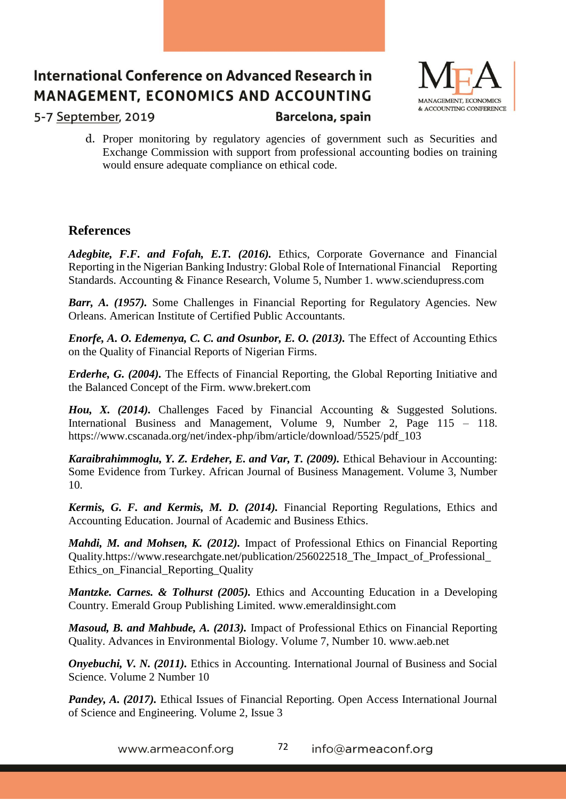

5-7 September, 2019

Barcelona, spain

d. Proper monitoring by regulatory agencies of government such as Securities and Exchange Commission with support from professional accounting bodies on training would ensure adequate compliance on ethical code.

## **References**

*Adegbite, F.F. and Fofah, E.T. (2016).* Ethics, Corporate Governance and Financial Reporting in the Nigerian Banking Industry: Global Role of International Financial Reporting Standards. Accounting & Finance Research, Volume 5, Number 1. www.sciendupress.com

*Barr, A. (1957).* Some Challenges in Financial Reporting for Regulatory Agencies. New Orleans. American Institute of Certified Public Accountants.

*Enorfe, A. O. Edemenya, C. C. and Osunbor, E. O. (2013).* The Effect of Accounting Ethics on the Quality of Financial Reports of Nigerian Firms.

*Erderhe, G. (2004).* The Effects of Financial Reporting, the Global Reporting Initiative and the Balanced Concept of the Firm. www.brekert.com

*Hou, X. (2014).* Challenges Faced by Financial Accounting & Suggested Solutions. International Business and Management, Volume 9, Number 2, Page 115 – 118. https://www.cscanada.org/net/index-php/ibm/article/download/5525/pdf\_103

*Karaibrahimmoglu, Y. Z. Erdeher, E. and Var, T. (2009).* Ethical Behaviour in Accounting: Some Evidence from Turkey. African Journal of Business Management. Volume 3, Number 10.

*Kermis, G. F. and Kermis, M. D. (2014).* Financial Reporting Regulations, Ethics and Accounting Education. Journal of Academic and Business Ethics.

*Mahdi, M. and Mohsen, K. (2012).* Impact of Professional Ethics on Financial Reporting Quality.https://www.researchgate.net/publication/256022518\_The\_Impact\_of\_Professional\_ Ethics on Financial Reporting Quality

*Mantzke. Carnes. & Tolhurst (2005).* Ethics and Accounting Education in a Developing Country. Emerald Group Publishing Limited. www.emeraldinsight.com

*Masoud, B. and Mahbude, A. (2013).* Impact of Professional Ethics on Financial Reporting Quality. Advances in Environmental Biology. Volume 7, Number 10. www.aeb.net

*Onyebuchi, V. N. (2011).* Ethics in Accounting. International Journal of Business and Social Science. Volume 2 Number 10

*Pandey, A. (2017).* Ethical Issues of Financial Reporting. Open Access International Journal of Science and Engineering. Volume 2, Issue 3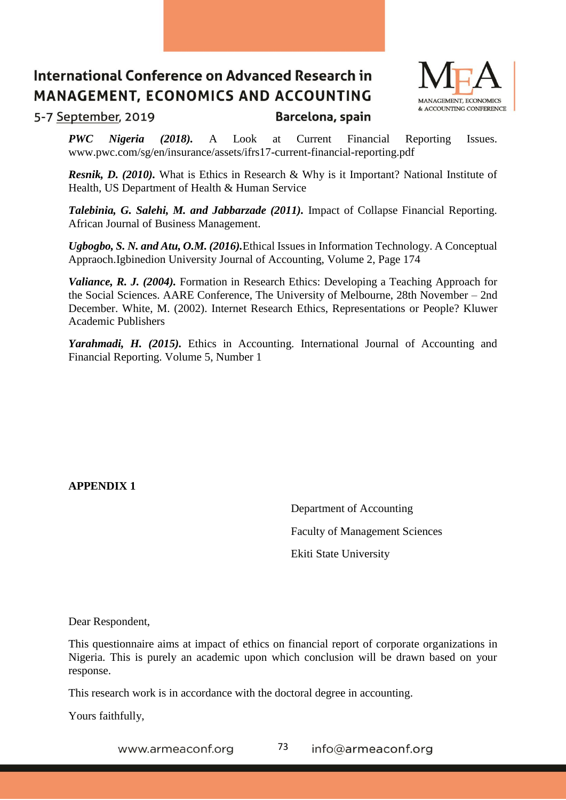

5-7 September, 2019

Barcelona, spain

*PWC Nigeria (2018).* A Look at Current Financial Reporting Issues. www.pwc.com/sg/en/insurance/assets/ifrs17-current-financial-reporting.pdf

*Resnik, D. (2010).* What is Ethics in Research & Why is it Important? National Institute of Health, US Department of Health & Human Service

*Talebinia, G. Salehi, M. and Jabbarzade (2011).* Impact of Collapse Financial Reporting. African Journal of Business Management.

*Ugbogbo, S. N. and Atu, O.M. (2016).*Ethical Issues in Information Technology. A Conceptual Appraoch.Igbinedion University Journal of Accounting, Volume 2, Page 174

*Valiance, R. J. (2004).* Formation in Research Ethics: Developing a Teaching Approach for the Social Sciences. AARE Conference, The University of Melbourne, 28th November – 2nd December. White, M. (2002). Internet Research Ethics, Representations or People? Kluwer Academic Publishers

*Yarahmadi, H. (2015).* Ethics in Accounting. International Journal of Accounting and Financial Reporting. Volume 5, Number 1

**APPENDIX 1**

 Department of Accounting Faculty of Management Sciences Ekiti State University

Dear Respondent,

This questionnaire aims at impact of ethics on financial report of corporate organizations in Nigeria. This is purely an academic upon which conclusion will be drawn based on your response.

This research work is in accordance with the doctoral degree in accounting.

Yours faithfully,

73 www.armeaconf.org info@armeaconf.org